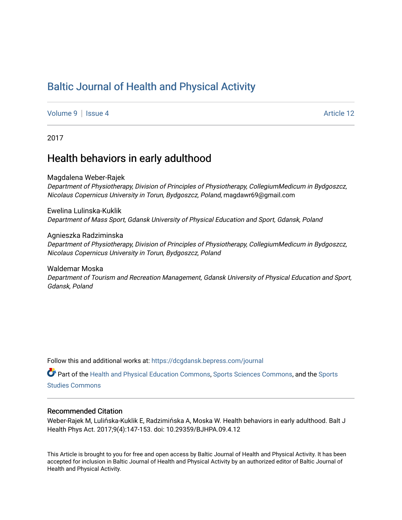# [Baltic Journal of Health and Physical Activity](https://dcgdansk.bepress.com/journal)

[Volume 9](https://dcgdansk.bepress.com/journal/vol9) | [Issue 4](https://dcgdansk.bepress.com/journal/vol9/iss4) Article 12

2017

## Health behaviors in early adulthood

Magdalena Weber-Rajek Department of Physiotherapy, Division of Principles of Physiotherapy, CollegiumMedicum in Bydgoszcz,

Nicolaus Copernicus University in Torun, Bydgoszcz, Poland, magdawr69@gmail.com Ewelina Lulinska-Kuklik

Department of Mass Sport, Gdansk University of Physical Education and Sport, Gdansk, Poland

Agnieszka Radziminska

Department of Physiotherapy, Division of Principles of Physiotherapy, CollegiumMedicum in Bydgoszcz, Nicolaus Copernicus University in Torun, Bydgoszcz, Poland

Waldemar Moska Department of Tourism and Recreation Management, Gdansk University of Physical Education and Sport, Gdansk, Poland

Follow this and additional works at: [https://dcgdansk.bepress.com/journal](https://dcgdansk.bepress.com/journal?utm_source=dcgdansk.bepress.com%2Fjournal%2Fvol9%2Fiss4%2F12&utm_medium=PDF&utm_campaign=PDFCoverPages)

Part of the [Health and Physical Education Commons](http://network.bepress.com/hgg/discipline/1327?utm_source=dcgdansk.bepress.com%2Fjournal%2Fvol9%2Fiss4%2F12&utm_medium=PDF&utm_campaign=PDFCoverPages), [Sports Sciences Commons](http://network.bepress.com/hgg/discipline/759?utm_source=dcgdansk.bepress.com%2Fjournal%2Fvol9%2Fiss4%2F12&utm_medium=PDF&utm_campaign=PDFCoverPages), and the [Sports](http://network.bepress.com/hgg/discipline/1198?utm_source=dcgdansk.bepress.com%2Fjournal%2Fvol9%2Fiss4%2F12&utm_medium=PDF&utm_campaign=PDFCoverPages)  [Studies Commons](http://network.bepress.com/hgg/discipline/1198?utm_source=dcgdansk.bepress.com%2Fjournal%2Fvol9%2Fiss4%2F12&utm_medium=PDF&utm_campaign=PDFCoverPages) 

#### Recommended Citation

Weber-Rajek M, Lulińska-Kuklik E, Radzimińska A, Moska W. Health behaviors in early adulthood. Balt J Health Phys Act. 2017;9(4):147-153. doi: 10.29359/BJHPA.09.4.12

This Article is brought to you for free and open access by Baltic Journal of Health and Physical Activity. It has been accepted for inclusion in Baltic Journal of Health and Physical Activity by an authorized editor of Baltic Journal of Health and Physical Activity.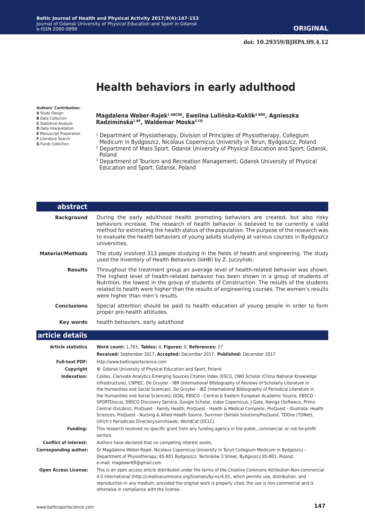#### **Baltic Journal of Health and Physical Activity 2017;9(4):147-153** Journal of Gdansk University of Physical Education and Sport in Gdansk e-ISSN 2080-9999

# **Health behaviors in early adulthood**

**Authors' Contribution: A** Study Design

- **B** Data Collection
- **C** Statistical Analysis **D** Data Interpretation
- **E** Manuscript Preparation
- **F** Literature Search
- **G** Funds Collection

#### **Magdalena Weber-Rajek1 ABCDE, Ewelina Lulińska-Kuklik2 BDE, Agnieszka Radzimińska1 BF, Waldemar Moska3 CD**

- <sup>1</sup> Department of Physiotherapy, Division of Principles of Physiotherapy, Collegium
- Medicum in Bydgoszcz, Nicolaus Copernicus University in Torun, Bydgoszcz, Poland 2 Department of Mass Sport, Gdansk University of Physical Education and Sport, Gdansk, Poland
- <sup>3</sup> Department of Tourism and Recreation Management, Gdansk University of Physical Education and Sport, Gdansk, Poland

| abstract                     |                                                                                                                                                                                                                                                                                                                                                                                                                                                                                                                                                                                                                                                                                                                                                                                                                                                               |
|------------------------------|---------------------------------------------------------------------------------------------------------------------------------------------------------------------------------------------------------------------------------------------------------------------------------------------------------------------------------------------------------------------------------------------------------------------------------------------------------------------------------------------------------------------------------------------------------------------------------------------------------------------------------------------------------------------------------------------------------------------------------------------------------------------------------------------------------------------------------------------------------------|
| <b>Background</b>            | During the early adulthood health promoting behaviors are created, but also risky<br>behaviors increase. The research of health behavior is believed to be currently a valid<br>method for estimating the health status of the population. The purpose of the research was<br>to evaluate the health behaviors of young adults studying at various courses in Bydgoszcz<br>universities.                                                                                                                                                                                                                                                                                                                                                                                                                                                                      |
| <b>Material/Methods</b>      | The study involved 313 people studying in the fields of health and engineering. The study<br>used the Inventory of Health Behaviors (IoHB) by Z. Juczyński.                                                                                                                                                                                                                                                                                                                                                                                                                                                                                                                                                                                                                                                                                                   |
| <b>Results</b>               | Throughout the treatment group an average level of health-related behavior was shown.<br>The highest level of health-related behavior has been shown in a group of students of<br>Nutrition, the lowest in the group of students of Construction. The results of the students<br>related to health were higher than the results of engineering courses. The women's results<br>were higher than men's results.                                                                                                                                                                                                                                                                                                                                                                                                                                                |
| <b>Conclusions</b>           | Special attention should be paid to health education of young people in order to form<br>proper pro-health attitudes.                                                                                                                                                                                                                                                                                                                                                                                                                                                                                                                                                                                                                                                                                                                                         |
| Key words                    | health behaviors, early adulthood                                                                                                                                                                                                                                                                                                                                                                                                                                                                                                                                                                                                                                                                                                                                                                                                                             |
| article details              |                                                                                                                                                                                                                                                                                                                                                                                                                                                                                                                                                                                                                                                                                                                                                                                                                                                               |
| <b>Article statistics</b>    | Word count: 1,783; Tables: 4; Figures: 0; References: 27<br>Received: September 2017; Accepted: December 2017; Published: December 2017                                                                                                                                                                                                                                                                                                                                                                                                                                                                                                                                                                                                                                                                                                                       |
| <b>Full-text PDF:</b>        | http://www.balticsportscience.com                                                                                                                                                                                                                                                                                                                                                                                                                                                                                                                                                                                                                                                                                                                                                                                                                             |
| Copyright                    | © Gdansk University of Physical Education and Sport, Poland                                                                                                                                                                                                                                                                                                                                                                                                                                                                                                                                                                                                                                                                                                                                                                                                   |
| Indexation:                  | Celdes, Clarivate Analytics Emerging Sources Citation Index (ESCI), CNKI Scholar (China National Knowledge<br>Infrastructure), CNPIEC, De Gruyter - IBR (International Bibliography of Reviews of Scholarly Literature in<br>the Humanities and Social Sciences), De Gruyter - IBZ (International Bibliography of Periodical Literature in<br>the Humanities and Social Sciences), DOAJ, EBSCO - Central & Eastern European Academic Source, EBSCO -<br>SPORTDiscus, EBSCO Discovery Service, Google Scholar, Index Copernicus, J-Gate, Naviga (Softweco, Primo<br>Central (ExLibris), ProQuest - Family Health, ProQuest - Health & Medical Complete, ProQuest - Illustrata: Health<br>Sciences, ProQuest - Nursing & Allied Health Source, Summon (Serials Solutions/ProQuest, TDOne (TDNet),<br>Ulrich's Periodicals Directory/ulrichsweb, WorldCat (OCLC) |
| Funding:                     | This research received no specific grant from any funding agency in the public, commercial, or not-for-profit<br>sectors.                                                                                                                                                                                                                                                                                                                                                                                                                                                                                                                                                                                                                                                                                                                                     |
| <b>Conflict of interest:</b> | Authors have declared that no competing interest exists.                                                                                                                                                                                                                                                                                                                                                                                                                                                                                                                                                                                                                                                                                                                                                                                                      |
| <b>Corresponding author:</b> | Dr Magdalena Weber-Rajek, Nicolaus Copernicus University in Torun Collegium Medicum in Bydgoszcz -<br>Department of Physiotherapy; 85-801 Bydgoszcz, Techników 3 Street, Bydgoszcz 85-801, Poland;<br>e-mail: magdawr69@gmail.com                                                                                                                                                                                                                                                                                                                                                                                                                                                                                                                                                                                                                             |
| <b>Open Access License:</b>  | This is an open access article distributed under the terms of the Creative Commons Attribution-Non-commercial<br>4.0 International (http://creativecommons.org/licenses/by-nc/4.0/), which permits use, distribution, and<br>reproduction in any medium, provided the original work is properly cited, the use is non-commercial and is<br>otherwise in compliance with the license.                                                                                                                                                                                                                                                                                                                                                                                                                                                                          |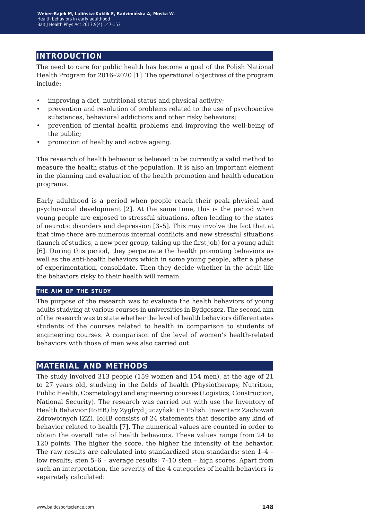## **introduction**

The need to care for public health has become a goal of the Polish National Health Program for 2016–2020 [1]. The operational objectives of the program include:

- improving a diet, nutritional status and physical activity;
- prevention and resolution of problems related to the use of psychoactive substances, behavioral addictions and other risky behaviors;
- prevention of mental health problems and improving the well-being of the public;
- promotion of healthy and active ageing.

The research of health behavior is believed to be currently a valid method to measure the health status of the population. It is also an important element in the planning and evaluation of the health promotion and health education programs.

Early adulthood is a period when people reach their peak physical and psychosocial development [2]. At the same time, this is the period when young people are exposed to stressful situations, often leading to the states of neurotic disorders and depression [3–5]. This may involve the fact that at that time there are numerous internal conflicts and new stressful situations (launch of studies, a new peer group, taking up the first job) for a young adult [6]. During this period, they perpetuate the health promoting behaviors as well as the anti-health behaviors which in some young people, after a phase of experimentation, consolidate. Then they decide whether in the adult life the behaviors risky to their health will remain.

#### **the aim of the study**

The purpose of the research was to evaluate the health behaviors of young adults studying at various courses in universities in Bydgoszcz. The second aim of the research was to state whether the level of health behaviors differentiates students of the courses related to health in comparison to students of engineering courses. A comparison of the level of women's health-related behaviors with those of men was also carried out.

#### **material and methods**

The study involved 313 people (159 women and 154 men), at the age of 21 to 27 years old, studying in the fields of health (Physiotherapy, Nutrition, Public Health, Cosmetology) and engineering courses (Logistics, Construction, National Security). The research was carried out with use the Inventory of Health Behavior (IoHB) by Zygfryd Juczyński (in Polish: Inwentarz Zachowań Zdrowotnych IZZ). IoHB consists of 24 statements that describe any kind of behavior related to health [7]. The numerical values are counted in order to obtain the overall rate of health behaviors. These values range from 24 to 120 points. The higher the score, the higher the intensity of the behavior. The raw results are calculated into standardized sten standards: sten 1–4 – low results; sten 5–6 – average results; 7–10 sten – high scores. Apart from such an interpretation, the severity of the 4 categories of health behaviors is separately calculated: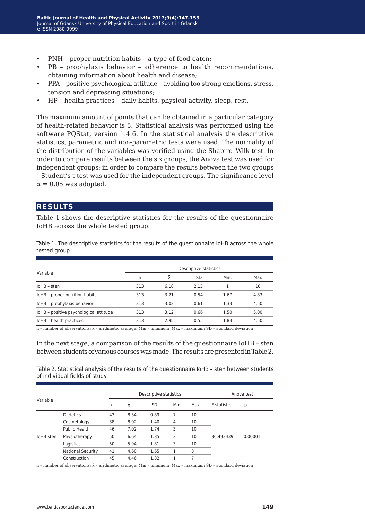- PNH proper nutrition habits a type of food eaten;
- PB prophylaxis behavior adherence to health recommendations, obtaining information about health and disease;
- PPA positive psychological attitude avoiding too strong emotions, stress, tension and depressing situations;
- HP health practices daily habits, physical activity, sleep, rest.

The maximum amount of points that can be obtained in a particular category of health-related behavior is 5. Statistical analysis was performed using the software PQStat, version 1.4.6. In the statistical analysis the descriptive statistics, parametric and non-parametric tests were used. The normality of the distribution of the variables was verified using the Shapiro–Wilk test. In order to compare results between the six groups, the Anova test was used for independent groups; in order to compare the results between the two groups – Student's t-test was used for the independent groups. The significance level  $\alpha = 0.05$  was adopted.

#### **results**

Table 1 shows the descriptive statistics for the results of the questionnaire IoHB across the whole tested group.

Table 1. The descriptive statistics for the results of the questionnaire IoHB across the whole tested group

|                                        | Descriptive statistics |      |           |      |      |  |  |
|----------------------------------------|------------------------|------|-----------|------|------|--|--|
| Variable                               | n                      | x    | <b>SD</b> | Min. | Max  |  |  |
| IoHB - sten                            | 313                    | 6.18 | 2.13      |      | 10   |  |  |
| IoHB - proper nutrition habits         | 313                    | 3.21 | 0.54      | 1.67 | 4.83 |  |  |
| IoHB - prophylaxis behavior            | 313                    | 3.02 | 0.61      | 1.33 | 4.50 |  |  |
| IoHB - positive psychological attitude | 313                    | 3.12 | 0.66      | 1.50 | 5.00 |  |  |
| IoHB - health practices                | 313                    | 2.95 | 0.55      | 1.83 | 4.50 |  |  |

 $n$  – number of observations;  $\bar{x}$  – arithmetic average; Min – minimum; Max – maximum; SD – standard deviation

In the next stage, a comparison of the results of the questionnaire IoHB – sten between students of various courses was made. The results are presented in Table 2.

Table 2. Statistical analysis of the results of the questionnaire IoHB – sten between students of individual fields of study

|           |                          |    | Descriptive statistics |           |      |     |                    | Anova test |  |  |
|-----------|--------------------------|----|------------------------|-----------|------|-----|--------------------|------------|--|--|
| Variable  |                          | n  | $\bar{x}$              | <b>SD</b> | Min. | Max | <b>F</b> statistic | p          |  |  |
|           | <b>Dietetics</b>         | 43 | 8.34                   | 0.89      | 7    | 10  |                    |            |  |  |
|           | Cosmetology              | 38 | 8.02                   | 1.40      | 4    | 10  |                    |            |  |  |
|           | Public Health            | 46 | 7.02                   | 1.74      | 3    | 10  |                    |            |  |  |
| IoHB-sten | Physiotherapy            | 50 | 6.64                   | 1.85      | 3    | 10  | 36.493439          | 0.00001    |  |  |
|           | Logistics                | 50 | 5.94                   | 1.81      | 3    | 10  |                    |            |  |  |
|           | <b>National Security</b> | 41 | 4.60                   | 1.65      | 1    | 8   |                    |            |  |  |
|           | Construction             | 45 | 4.46                   | 1.82      | 1    | 7   |                    |            |  |  |

n – number of observations; x̄ – arithmetic average; Min – minimum; Max – maximum; SD – standard deviation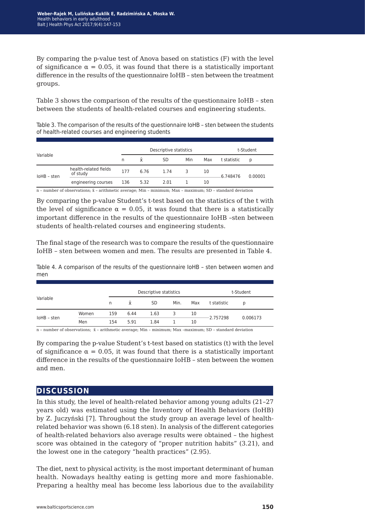By comparing the p-value test of Anova based on statistics (F) with the level of significance  $\alpha = 0.05$ , it was found that there is a statistically important difference in the results of the questionnaire IoHB – sten between the treatment groups.

Table 3 shows the comparison of the results of the questionnaire IoHB – sten between the students of health-related courses and engineering students.

Table 3. The comparison of the results of the questionnaire IoHB – sten between the students of health-related courses and engineering students

|             |                                   |       |           | Descriptive statistics |     |     | t-Student   |         |  |  |
|-------------|-----------------------------------|-------|-----------|------------------------|-----|-----|-------------|---------|--|--|
| Variable    |                                   | n     | $\bar{x}$ | SD                     | Min | Max | t statistic | D       |  |  |
| loHB - sten | health-related fields<br>of study | 177   | 6.76      | 1.74                   | 3.  | 10  | -6.748476   | 0.00001 |  |  |
|             | engineering courses               | - 136 | 5.32      | 2.01                   |     | 10  |             |         |  |  |

n – number of observations; x̄ – arithmetic average; Min – minimum; Max – maximum; SD – standard deviation

By comparing the p-value Student's t-test based on the statistics of the t with the level of significance  $\alpha = 0.05$ , it was found that there is a statistically important difference in the results of the questionnaire IoHB –sten between students of health-related courses and engineering students.

The final stage of the research was to compare the results of the questionnaire IoHB – sten between women and men. The results are presented in Table 4.

Table 4. A comparison of the results of the questionnaire IoHB – sten between women and men

|             |       |     | Descriptive statistics |           |      |     |             | t-Student |  |  |
|-------------|-------|-----|------------------------|-----------|------|-----|-------------|-----------|--|--|
| Variable    |       | n   | x                      | <b>SD</b> | Min. | Max | t statistic | D         |  |  |
| loHB - sten | Women | 159 | 6.44                   | 1.63      |      | 10  |             | 0.006173  |  |  |
|             | Men   | 154 | 5.91                   | 1.84      |      | 10  | $-2.757298$ |           |  |  |

n – number of observations; x̄ – arithmetic average; Min – minimum; Max –maximum; SD – standard deviation

By comparing the p-value Student's t-test based on statistics (t) with the level of significance  $\alpha = 0.05$ , it was found that there is a statistically important difference in the results of the questionnaire IoHB – sten between the women and men.

### **discussion**

In this study, the level of health-related behavior among young adults (21–27 years old) was estimated using the Inventory of Health Behaviors (IoHB) by Z. Juczyński [7]. Throughout the study group an average level of healthrelated behavior was shown (6.18 sten). In analysis of the different categories of health-related behaviors also average results were obtained – the highest score was obtained in the category of "proper nutrition habits" (3.21), and the lowest one in the category "health practices" (2.95).

The diet, next to physical activity, is the most important determinant of human health. Nowadays healthy eating is getting more and more fashionable. Preparing a healthy meal has become less laborious due to the availability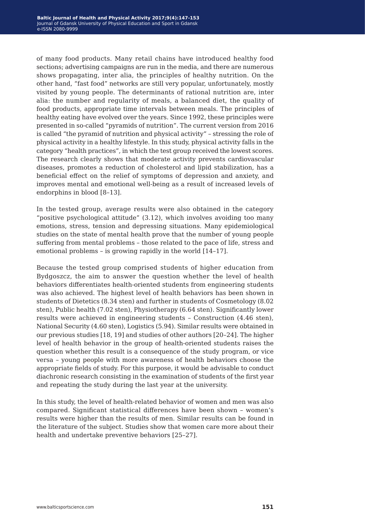of many food products. Many retail chains have introduced healthy food sections; advertising campaigns are run in the media, and there are numerous shows propagating, inter alia, the principles of healthy nutrition. On the other hand, "fast food" networks are still very popular, unfortunately, mostly visited by young people. The determinants of rational nutrition are, inter alia: the number and regularity of meals, a balanced diet, the quality of food products, appropriate time intervals between meals. The principles of healthy eating have evolved over the years. Since 1992, these principles were presented in so-called "pyramids of nutrition". The current version from 2016 is called "the pyramid of nutrition and physical activity" – stressing the role of physical activity in a healthy lifestyle. In this study, physical activity falls in the category "health practices", in which the test group received the lowest scores. The research clearly shows that moderate activity prevents cardiovascular diseases, promotes a reduction of cholesterol and lipid stabilization, has a beneficial effect on the relief of symptoms of depression and anxiety, and improves mental and emotional well-being as a result of increased levels of endorphins in blood [8–13].

In the tested group, average results were also obtained in the category "positive psychological attitude" (3.12), which involves avoiding too many emotions, stress, tension and depressing situations. Many epidemiological studies on the state of mental health prove that the number of young people suffering from mental problems – those related to the pace of life, stress and emotional problems – is growing rapidly in the world [14–17].

Because the tested group comprised students of higher education from Bydgoszcz, the aim to answer the question whether the level of health behaviors differentiates health-oriented students from engineering students was also achieved. The highest level of health behaviors has been shown in students of Dietetics (8.34 sten) and further in students of Cosmetology (8.02 sten), Public health (7.02 sten), Physiotherapy (6.64 sten). Significantly lower results were achieved in engineering students – Construction (4.46 sten), National Security (4.60 sten), Logistics (5.94). Similar results were obtained in our previous studies [18, 19] and studies of other authors [20–24]. The higher level of health behavior in the group of health-oriented students raises the question whether this result is a consequence of the study program, or vice versa – young people with more awareness of health behaviors choose the appropriate fields of study. For this purpose, it would be advisable to conduct diachronic research consisting in the examination of students of the first year and repeating the study during the last year at the university.

In this study, the level of health-related behavior of women and men was also compared. Significant statistical differences have been shown – women's results were higher than the results of men. Similar results can be found in the literature of the subject. Studies show that women care more about their health and undertake preventive behaviors [25–27].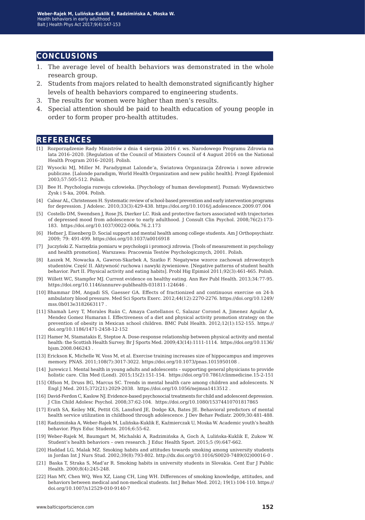#### **conclusions**

- 1. The average level of health behaviors was demonstrated in the whole research group.
- 2. Students from majors related to health demonstrated significantly higher levels of health behaviors compared to engineering students.
- 3. The results for women were higher than men's results.
- 4. Special attention should be paid to health education of young people in order to form proper pro-health attitudes.

#### **references**

- [1] Rozporządzenie Rady Ministrów z dnia 4 sierpnia 2016 r. ws. Narodowego Programu Zdrowia na lata 2016–2020. [Regulation of the Council of Ministers Council of 4 August 2016 on the National Health Program 2016–2020]. Polish.
- [2] Wysocki MJ, Miller M. Paradygmat Lalonde'a, Światowa Organizacja Zdrowia i nowe zdrowie publiczne. [Lalonde paradigm, World Health Organization and new public health]. Przegl Epidemiol 2003;57:505-512. Polish.
- [3] Bee H. Psychologia rozwoju człowieka. [Psychology of human development]. Poznań: Wydawnictwo Zysk i S-ka, 2004. Polish.
- [4] Calear AL, Christensen H. Systematic review of school-based prevention and early intervention programs for depression. J Adolesc. 2010;33(3):429-438. https://doi.org/10.1016/j.adolescence.2009.07.004
- [5] Costello DM, Swendsen J, Rose JS, Dierker LC. Risk and protective factors associated with trajectories of depressed mood from adolescence to early adulthood. J Consult Clin Psychol. 2008;76(2):173- 183. https://doi.org/10.1037/0022-006x.76.2.173
- [6] Hefner J, Eisenberg D. Social support and mental health among college students. Am J Orthopsychiatr. 2009; 79: 491-499. https://doi.org/10.1037/a0016918
- [7] Juczyński Z. Narzędzia pomiaru w psychologii i promocji zdrowia. [Tools of measurement in psychology and health promotion]. Warszawa: Pracownia Testów Psychologicznych, 2001. Polish.
- [8] Łaszek M, Nowacka A, Gawron-Skarbek A, Szatko F. Negatywne wzorce zachowań zdrowotnych studentów. Część II. Aktywność ruchowa i nawyki żywieniowe. [Negative patterns of student health behavior. Part II. Physical activity and eating habits]. Probl Hig Epimiol 2011;92(3):461-465. Polish.
- [9] Willett WC, Stampfer MJ. Current evidence on healthy eating. Ann Rev Publ Health. 2013;34:77-95. https://doi.org/10.1146/annurev-publhealth-031811-124646 .
- [10] Bhammar DM, Angadi SS, Gaesser GA. Effects of fractionized and continuous exercise on 24-h ambulatory blood pressure. Med Sci Sports Exerc. 2012;44(12):2270-2276. https://doi.org/10.1249/ mss.0b013e3182663117 .
- [11] Shamah Levy T, Morales Ruán C, Amaya Castellanos C, Salazar Coronel A, Jimenez Aguilar A, Mendez Gomez Humaran I. Effectiveness of a diet and physical activity promotion strategy on the prevention of obesity in Mexican school children. BMC Publ Health. 2012;12(1):152-155. https:// doi.org/10.1186/1471-2458-12-152
- [12] Hamer M, Stamatakis E, Steptoe A. Dose-response relationship between physical activity and mental health: the Scottish Health Survey. Br J Sports Med. 2009;43(14):1111-1114. https://doi.org/10.1136/ bjsm.2008.046243 .
- [13] Erickson K, Michelle W, Voss M, et al. Exercise training increases size of hippocampus and improves memory. PNAS. 2011;108(7):3017-3022. https://doi.org/10.1073/pnas.1015950108 .
- [14] Jurewicz I. Mental health in young adults and adolescents supporting general physicians to provide holistic care. Clin Med (Lond). 2015;15(2):151-154. https://doi.org/10.7861/clinmedicine.15-2-151
- [15] Olfson M, Druss BG, Marcus SC. Trends in mental health care among children and adolescents. N Engl J Med. 2015;372(21):2029-2038. https://doi.org/10.1056/nejmsa1413512 .
- [16] David-Ferdon C, Kaslow NJ. Evidence-based psychosocial treatments for child and adolescent depression. J Clin Child Adolesc Psychol. 2008;37:62-104. https://doi.org/10.1080/15374410701817865
- [17] Erath SA, Keiley MK, Pettit GS, Lansford JE, Dodge KA, Bates JE. Behavioral predictors of mental health service utilization in childhood through adolescence. J Dev Behav Pediatr. 2009;30:481-488.
- [18] Radzimińska A, Weber-Rajek M, Lulińska-Kuklik E, Kaźmierczak U, Moska W. Academic youth's health behavior. Phys Educ Students. 2016;6:55-62.
- [19] Weber-Rajek M, Baumgart M, Michalski A, Radzimińska A, Goch A, Lulińska-Kuklik E, Zukow W. Student's health behaviors – own research. J Educ Health Sport. 2015;5 (9):647-662.
- [20] Haddad LG, Malak MZ. Smoking habits and attitudes towards smoking among university students in Jordan Int J Nurs Stud. 2002;39(8):793-802. http://dx.doi.org/10.1016/S0020-7489(02)00016-0 .
- [21] Baska T, Straka S, Mad'ar R. Smoking habits in university students in Slovakia. Cent Eur J Public Health. 2000;8(4):245-248.
- [22] Han MY, Chen WQ, Wen XZ, Liang CH, Ling WH. Differences of smoking knowledge, attitudes, and behaviors between medical and non-medical students. Int J Behav Med. 2012; 19(1):104-110. https:// doi.org/10.1007/s12529-010-9140-7